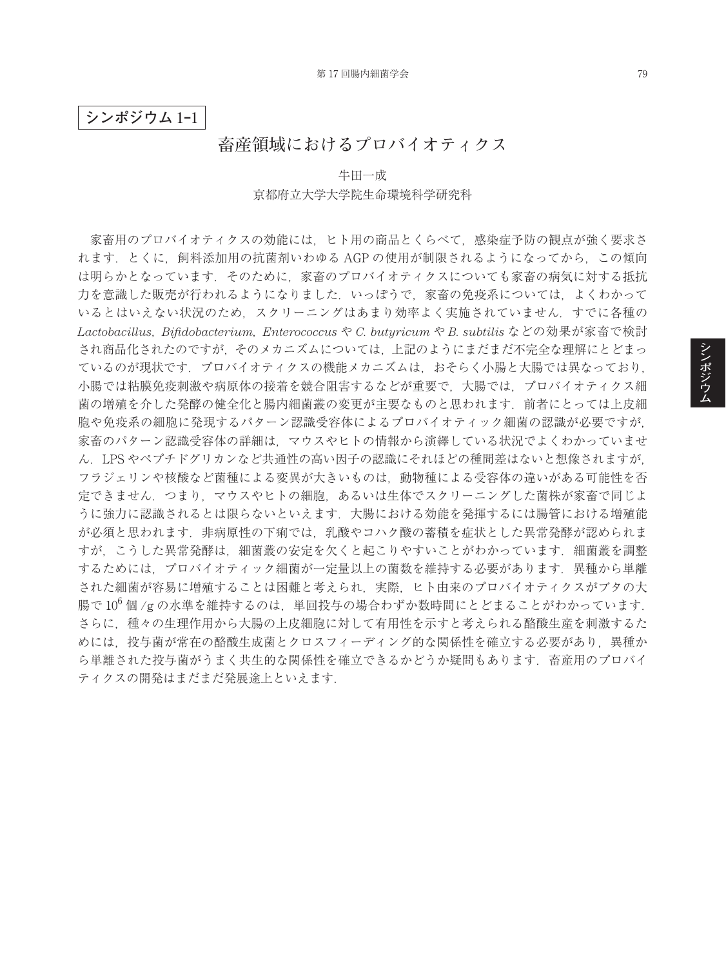## **シンポジウム** 1**‒**1

## **畜産領域におけるプロバイオティクス**

## 牛田一成 京都府立大学大学院生命環境科学研究科

家畜用のプロバイオティクスの効能には,ヒト用の商品とくらべて,感染症予防の観点が強く要求さ れます.とくに,飼料添加用の抗菌剤いわゆる AGP の使用が制限されるようになってから,この傾向 は明らかとなっています.そのために,家畜のプロバイオティクスについても家畜の病気に対する抵抗 力を意識した販売が行われるようになりました.いっぽうで,家畜の免疫系については,よくわかって いるとはいえない状況のため,スクリーニングはあまり効率よく実施されていません.すでに各種の *Lactobacillus*, *Bifidobacterium*, *Enterococcus* や *C. butyricum* や *B. subtilis* などの効果が家畜で検討 され商品化されたのですが,そのメカニズムについては,上記のようにまだまだ不完全な理解にとどまっ ているのが現状です.プロバイオティクスの機能メカニズムは,おそらく小腸と大腸では異なっており, 小腸では粘膜免疫刺激や病原体の接着を競合阻害するなどが重要で,大腸では,プロバイオティクス細 菌の増殖を介した発酵の健全化と腸内細菌叢の変更が主要なものと思われます.前者にとっては上皮細 胞や免疫系の細胞に発現するパターン認識受容体によるプロバイオティック細菌の認識が必要ですが, 家畜のパターン認識受容体の詳細は,マウスやヒトの情報から演繹している状況でよくわかっていませ ん.LPS やペプチドグリカンなど共通性の高い因子の認識にそれほどの種間差はないと想像されますが, フラジェリンや核酸など菌種による変異が大きいものは,動物種による受容体の違いがある可能性を否 定できません.つまり,マウスやヒトの細胞,あるいは生体でスクリーニングした菌株が家畜で同じよ うに強力に認識されるとは限らないといえます.大腸における効能を発揮するには腸管における増殖能 が必須と思われます.非病原性の下痢では,乳酸やコハク酸の蓄積を症状とした異常発酵が認められま すが,こうした異常発酵は,細菌叢の安定を欠くと起こりやすいことがわかっています.細菌叢を調整 するためには、プロバイオティック細菌が一定量以上の菌数を維持する必要があります. 異種から単離 された細菌が容易に増殖することは困難と考えられ,実際,ヒト由来のプロバイオティクスがブタの大 腸で $10^6$ 個/gの水準を維持するのは、単回投与の場合わずか数時間にとどまることがわかっています. さらに,種々の生理作用から大腸の上皮細胞に対して有用性を示すと考えられる酪酸生産を刺激するた めには、投与菌が常在の酪酸生成菌とクロスフィーディング的な関係性を確立する必要があり、異種か ら単離された投与菌がうまく共生的な関係性を確立できるかどうか疑問もあります. 畜産用のプロバイ ティクスの開発はまだまだ発展途上といえます.